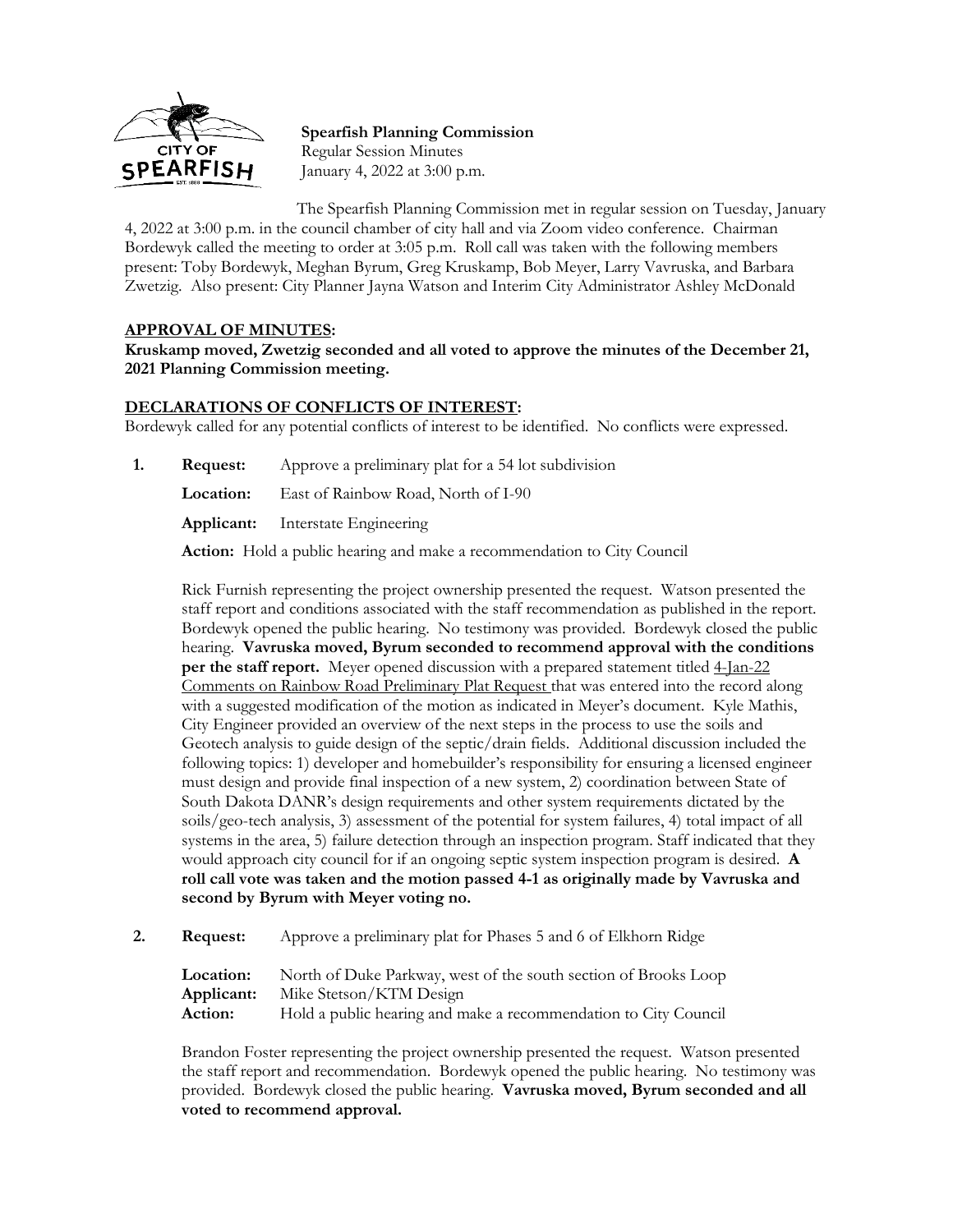

**Spearfish Planning Commission** Regular Session Minutes January 4, 2022 at 3:00 p.m.

The Spearfish Planning Commission met in regular session on Tuesday, January 4, 2022 at 3:00 p.m. in the council chamber of city hall and via Zoom video conference. Chairman Bordewyk called the meeting to order at 3:05 p.m. Roll call was taken with the following members present: Toby Bordewyk, Meghan Byrum, Greg Kruskamp, Bob Meyer, Larry Vavruska, and Barbara Zwetzig. Also present: City Planner Jayna Watson and Interim City Administrator Ashley McDonald

## **APPROVAL OF MINUTES:**

**Kruskamp moved, Zwetzig seconded and all voted to approve the minutes of the December 21, 2021 Planning Commission meeting.**

## **DECLARATIONS OF CONFLICTS OF INTEREST:**

Bordewyk called for any potential conflicts of interest to be identified. No conflicts were expressed.

**1. Request:** Approve a preliminary plat for a 54 lot subdivision

**Location:** East of Rainbow Road, North of I-90

**Applicant:** Interstate Engineering

**Action:** Hold a public hearing and make a recommendation to City Council

Rick Furnish representing the project ownership presented the request. Watson presented the staff report and conditions associated with the staff recommendation as published in the report. Bordewyk opened the public hearing. No testimony was provided. Bordewyk closed the public hearing. **Vavruska moved, Byrum seconded to recommend approval with the conditions per the staff report.** Meyer opened discussion with a prepared statement titled  $4$ -Jan-22 Comments on Rainbow Road Preliminary Plat Request that was entered into the record along with a suggested modification of the motion as indicated in Meyer's document. Kyle Mathis, City Engineer provided an overview of the next steps in the process to use the soils and Geotech analysis to guide design of the septic/drain fields. Additional discussion included the following topics: 1) developer and homebuilder's responsibility for ensuring a licensed engineer must design and provide final inspection of a new system, 2) coordination between State of South Dakota DANR's design requirements and other system requirements dictated by the soils/geo-tech analysis, 3) assessment of the potential for system failures, 4) total impact of all systems in the area, 5) failure detection through an inspection program. Staff indicated that they would approach city council for if an ongoing septic system inspection program is desired. **A roll call vote was taken and the motion passed 4-1 as originally made by Vavruska and second by Byrum with Meyer voting no.**

**2. Request:** Approve a preliminary plat for Phases 5 and 6 of Elkhorn Ridge

Location: North of Duke Parkway, west of the south section of Brooks Loop **Applicant:** Mike Stetson/KTM Design Action: Hold a public hearing and make a recommendation to City Council

Brandon Foster representing the project ownership presented the request. Watson presented the staff report and recommendation. Bordewyk opened the public hearing. No testimony was provided. Bordewyk closed the public hearing. **Vavruska moved, Byrum seconded and all voted to recommend approval.**